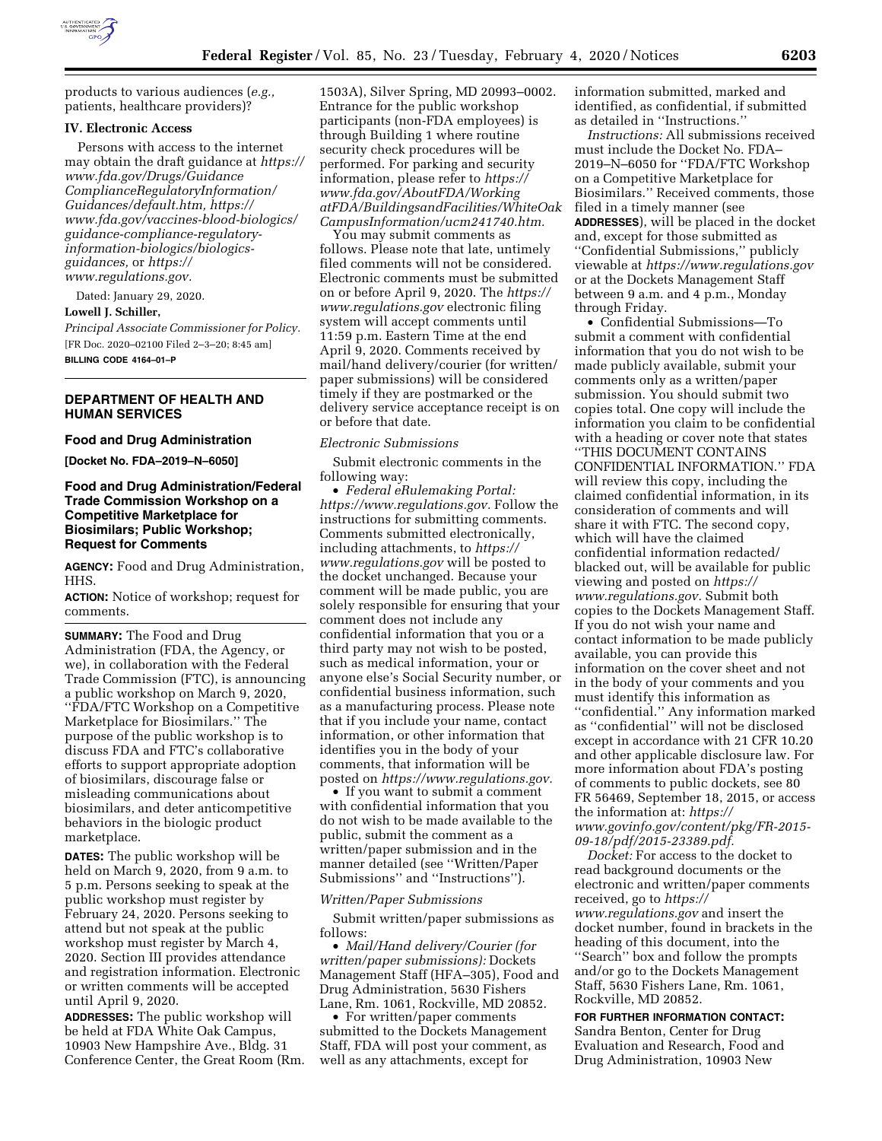

products to various audiences (*e.g.,*  patients, healthcare providers)?

### **IV. Electronic Access**

Persons with access to the internet may obtain the draft guidance at *[https://](https://www.fda.gov/Drugs/GuidanceComplianceRegulatoryInformation/Guidances/default.htm) [www.fda.gov/Drugs/Guidance](https://www.fda.gov/Drugs/GuidanceComplianceRegulatoryInformation/Guidances/default.htm) [ComplianceRegulatoryInformation/](https://www.fda.gov/Drugs/GuidanceComplianceRegulatoryInformation/Guidances/default.htm) [Guidances/default.htm,](https://www.fda.gov/Drugs/GuidanceComplianceRegulatoryInformation/Guidances/default.htm) [https://](https://www.fda.gov/vaccines-blood-biologics/guidance-compliance-regulatory-information-biologics/biologics-guidances) [www.fda.gov/vaccines-blood-biologics/](https://www.fda.gov/vaccines-blood-biologics/guidance-compliance-regulatory-information-biologics/biologics-guidances) [guidance-compliance-regulatory](https://www.fda.gov/vaccines-blood-biologics/guidance-compliance-regulatory-information-biologics/biologics-guidances)[information-biologics/biologics](https://www.fda.gov/vaccines-blood-biologics/guidance-compliance-regulatory-information-biologics/biologics-guidances)[guidances,](https://www.fda.gov/vaccines-blood-biologics/guidance-compliance-regulatory-information-biologics/biologics-guidances)* or *[https://](https://www.regulations.gov) [www.regulations.gov.](https://www.regulations.gov)* 

Dated: January 29, 2020.

# **Lowell J. Schiller,**

*Principal Associate Commissioner for Policy.*  [FR Doc. 2020–02100 Filed 2–3–20; 8:45 am] **BILLING CODE 4164–01–P** 

# **DEPARTMENT OF HEALTH AND HUMAN SERVICES**

## **Food and Drug Administration**

**[Docket No. FDA–2019–N–6050]** 

# **Food and Drug Administration/Federal Trade Commission Workshop on a Competitive Marketplace for Biosimilars; Public Workshop; Request for Comments**

**AGENCY:** Food and Drug Administration, HHS.

**ACTION:** Notice of workshop; request for comments.

**SUMMARY:** The Food and Drug Administration (FDA, the Agency, or we), in collaboration with the Federal Trade Commission (FTC), is announcing a public workshop on March 9, 2020, ''FDA/FTC Workshop on a Competitive Marketplace for Biosimilars.'' The purpose of the public workshop is to discuss FDA and FTC's collaborative efforts to support appropriate adoption of biosimilars, discourage false or misleading communications about biosimilars, and deter anticompetitive behaviors in the biologic product marketplace.

**DATES:** The public workshop will be held on March 9, 2020, from 9 a.m. to 5 p.m. Persons seeking to speak at the public workshop must register by February 24, 2020. Persons seeking to attend but not speak at the public workshop must register by March 4, 2020. Section III provides attendance and registration information. Electronic or written comments will be accepted until April 9, 2020.

**ADDRESSES:** The public workshop will be held at FDA White Oak Campus, 10903 New Hampshire Ave., Bldg. 31 Conference Center, the Great Room (Rm. 1503A), Silver Spring, MD 20993–0002. Entrance for the public workshop participants (non-FDA employees) is through Building 1 where routine security check procedures will be performed. For parking and security information, please refer to *[https://](https://www.fda.gov/AboutFDA/WorkingatFDA/BuildingsandFacilities/WhiteOakCampusInformation/ucm241740.htm) [www.fda.gov/AboutFDA/Working](https://www.fda.gov/AboutFDA/WorkingatFDA/BuildingsandFacilities/WhiteOakCampusInformation/ucm241740.htm) [atFDA/BuildingsandFacilities/WhiteOak](https://www.fda.gov/AboutFDA/WorkingatFDA/BuildingsandFacilities/WhiteOakCampusInformation/ucm241740.htm) [CampusInformation/ucm241740.htm.](https://www.fda.gov/AboutFDA/WorkingatFDA/BuildingsandFacilities/WhiteOakCampusInformation/ucm241740.htm)* 

You may submit comments as follows. Please note that late, untimely filed comments will not be considered. Electronic comments must be submitted on or before April 9, 2020. The *[https://](https://www.regulations.gov) [www.regulations.gov](https://www.regulations.gov)* electronic filing system will accept comments until 11:59 p.m. Eastern Time at the end April 9, 2020. Comments received by mail/hand delivery/courier (for written/ paper submissions) will be considered timely if they are postmarked or the delivery service acceptance receipt is on or before that date.

## *Electronic Submissions*

Submit electronic comments in the following way:

• *Federal eRulemaking Portal: [https://www.regulations.gov.](https://www.regulations.gov)* Follow the instructions for submitting comments. Comments submitted electronically, including attachments, to *[https://](https://www.regulations.gov) [www.regulations.gov](https://www.regulations.gov)* will be posted to the docket unchanged. Because your comment will be made public, you are solely responsible for ensuring that your comment does not include any confidential information that you or a third party may not wish to be posted, such as medical information, your or anyone else's Social Security number, or confidential business information, such as a manufacturing process. Please note that if you include your name, contact information, or other information that identifies you in the body of your comments, that information will be posted on *[https://www.regulations.gov.](https://www.regulations.gov)* 

• If you want to submit a comment with confidential information that you do not wish to be made available to the public, submit the comment as a written/paper submission and in the manner detailed (see ''Written/Paper Submissions'' and ''Instructions'').

### *Written/Paper Submissions*

Submit written/paper submissions as follows:

• *Mail/Hand delivery/Courier (for written/paper submissions):* Dockets Management Staff (HFA–305), Food and Drug Administration, 5630 Fishers Lane, Rm. 1061, Rockville, MD 20852.

• For written/paper comments submitted to the Dockets Management Staff, FDA will post your comment, as well as any attachments, except for

information submitted, marked and identified, as confidential, if submitted as detailed in ''Instructions.''

*Instructions:* All submissions received must include the Docket No. FDA– 2019–N–6050 for ''FDA/FTC Workshop on a Competitive Marketplace for Biosimilars.'' Received comments, those filed in a timely manner (see **ADDRESSES**), will be placed in the docket and, except for those submitted as ''Confidential Submissions,'' publicly viewable at *<https://www.regulations.gov>* or at the Dockets Management Staff between 9 a.m. and 4 p.m., Monday through Friday.

• Confidential Submissions—To submit a comment with confidential information that you do not wish to be made publicly available, submit your comments only as a written/paper submission. You should submit two copies total. One copy will include the information you claim to be confidential with a heading or cover note that states ''THIS DOCUMENT CONTAINS CONFIDENTIAL INFORMATION.'' FDA will review this copy, including the claimed confidential information, in its consideration of comments and will share it with FTC. The second copy, which will have the claimed confidential information redacted/ blacked out, will be available for public viewing and posted on *[https://](https://www.regulations.gov) [www.regulations.gov.](https://www.regulations.gov)* Submit both copies to the Dockets Management Staff. If you do not wish your name and contact information to be made publicly available, you can provide this information on the cover sheet and not in the body of your comments and you must identify this information as ''confidential.'' Any information marked as ''confidential'' will not be disclosed except in accordance with 21 CFR 10.20 and other applicable disclosure law. For more information about FDA's posting of comments to public dockets, see 80 FR 56469, September 18, 2015, or access the information at: *[https://](https://www.govinfo.gov/content/pkg/FR-2015-09-18/pdf/2015-23389.pdf) [www.govinfo.gov/content/pkg/FR-2015-](https://www.govinfo.gov/content/pkg/FR-2015-09-18/pdf/2015-23389.pdf) [09-18/pdf/2015-23389.pdf.](https://www.govinfo.gov/content/pkg/FR-2015-09-18/pdf/2015-23389.pdf)* 

*Docket:* For access to the docket to read background documents or the electronic and written/paper comments received, go to *[https://](https://www.regulations.gov) [www.regulations.gov](https://www.regulations.gov)* and insert the docket number, found in brackets in the heading of this document, into the ''Search'' box and follow the prompts and/or go to the Dockets Management Staff, 5630 Fishers Lane, Rm. 1061, Rockville, MD 20852.

### **FOR FURTHER INFORMATION CONTACT:**

Sandra Benton, Center for Drug Evaluation and Research, Food and Drug Administration, 10903 New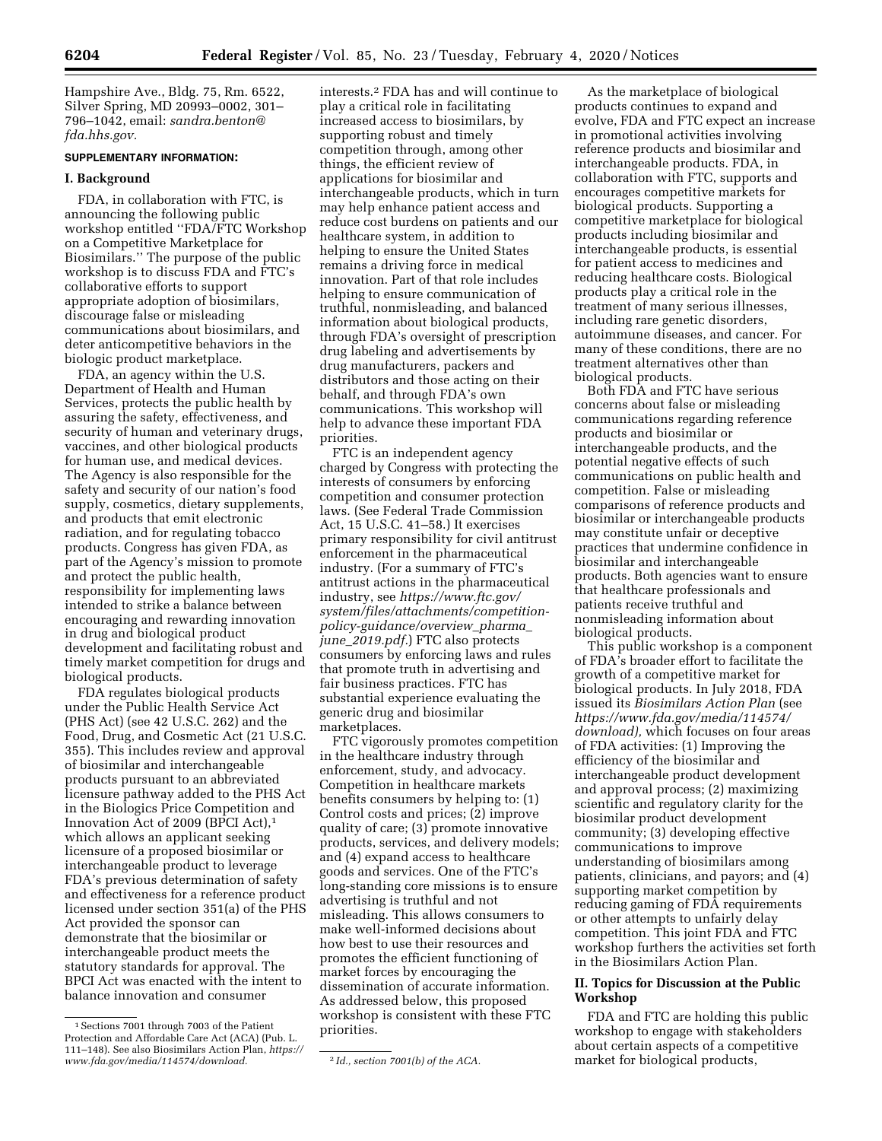Hampshire Ave., Bldg. 75, Rm. 6522, Silver Spring, MD 20993–0002, 301– 796–1042, email: *[sandra.benton@](mailto:sandra.benton@fda.hhs.gov) [fda.hhs.gov.](mailto:sandra.benton@fda.hhs.gov)* 

# **SUPPLEMENTARY INFORMATION:**

### **I. Background**

FDA, in collaboration with FTC, is announcing the following public workshop entitled ''FDA/FTC Workshop on a Competitive Marketplace for Biosimilars.'' The purpose of the public workshop is to discuss FDA and FTC's collaborative efforts to support appropriate adoption of biosimilars, discourage false or misleading communications about biosimilars, and deter anticompetitive behaviors in the biologic product marketplace.

FDA, an agency within the U.S. Department of Health and Human Services, protects the public health by assuring the safety, effectiveness, and security of human and veterinary drugs, vaccines, and other biological products for human use, and medical devices. The Agency is also responsible for the safety and security of our nation's food supply, cosmetics, dietary supplements, and products that emit electronic radiation, and for regulating tobacco products. Congress has given FDA, as part of the Agency's mission to promote and protect the public health, responsibility for implementing laws intended to strike a balance between encouraging and rewarding innovation in drug and biological product development and facilitating robust and timely market competition for drugs and biological products.

FDA regulates biological products under the Public Health Service Act (PHS Act) (see 42 U.S.C. 262) and the Food, Drug, and Cosmetic Act (21 U.S.C. 355). This includes review and approval of biosimilar and interchangeable products pursuant to an abbreviated licensure pathway added to the PHS Act in the Biologics Price Competition and Innovation Act of 2009 (BPCI Act),1 which allows an applicant seeking licensure of a proposed biosimilar or interchangeable product to leverage FDA's previous determination of safety and effectiveness for a reference product licensed under section 351(a) of the PHS Act provided the sponsor can demonstrate that the biosimilar or interchangeable product meets the statutory standards for approval. The BPCI Act was enacted with the intent to balance innovation and consumer

interests.2 FDA has and will continue to play a critical role in facilitating increased access to biosimilars, by supporting robust and timely competition through, among other things, the efficient review of applications for biosimilar and interchangeable products, which in turn may help enhance patient access and reduce cost burdens on patients and our healthcare system, in addition to helping to ensure the United States remains a driving force in medical innovation. Part of that role includes helping to ensure communication of truthful, nonmisleading, and balanced information about biological products, through FDA's oversight of prescription drug labeling and advertisements by drug manufacturers, packers and distributors and those acting on their behalf, and through FDA's own communications. This workshop will help to advance these important FDA priorities.

FTC is an independent agency charged by Congress with protecting the interests of consumers by enforcing competition and consumer protection laws. (See Federal Trade Commission Act, 15 U.S.C. 41–58.) It exercises primary responsibility for civil antitrust enforcement in the pharmaceutical industry. (For a summary of FTC's antitrust actions in the pharmaceutical industry, see *[https://www.ftc.gov/](https://www.ftc.gov/system/files/attachments/competition-policy-guidance/overview_pharma_june_2019.pdf)  [system/files/attachments/competition](https://www.ftc.gov/system/files/attachments/competition-policy-guidance/overview_pharma_june_2019.pdf)[policy-guidance/overview](https://www.ftc.gov/system/files/attachments/competition-policy-guidance/overview_pharma_june_2019.pdf)*\_*pharma*\_ *june*\_*[2019.pdf.](https://www.ftc.gov/system/files/attachments/competition-policy-guidance/overview_pharma_june_2019.pdf)*) FTC also protects consumers by enforcing laws and rules that promote truth in advertising and fair business practices. FTC has substantial experience evaluating the generic drug and biosimilar marketplaces.

FTC vigorously promotes competition in the healthcare industry through enforcement, study, and advocacy. Competition in healthcare markets benefits consumers by helping to: (1) Control costs and prices; (2) improve quality of care; (3) promote innovative products, services, and delivery models; and (4) expand access to healthcare goods and services. One of the FTC's long-standing core missions is to ensure advertising is truthful and not misleading. This allows consumers to make well-informed decisions about how best to use their resources and promotes the efficient functioning of market forces by encouraging the dissemination of accurate information. As addressed below, this proposed workshop is consistent with these FTC priorities.

As the marketplace of biological products continues to expand and evolve, FDA and FTC expect an increase in promotional activities involving reference products and biosimilar and interchangeable products. FDA, in collaboration with FTC, supports and encourages competitive markets for biological products. Supporting a competitive marketplace for biological products including biosimilar and interchangeable products, is essential for patient access to medicines and reducing healthcare costs. Biological products play a critical role in the treatment of many serious illnesses, including rare genetic disorders, autoimmune diseases, and cancer. For many of these conditions, there are no treatment alternatives other than biological products.

Both FDA and FTC have serious concerns about false or misleading communications regarding reference products and biosimilar or interchangeable products, and the potential negative effects of such communications on public health and competition. False or misleading comparisons of reference products and biosimilar or interchangeable products may constitute unfair or deceptive practices that undermine confidence in biosimilar and interchangeable products. Both agencies want to ensure that healthcare professionals and patients receive truthful and nonmisleading information about biological products.

This public workshop is a component of FDA's broader effort to facilitate the growth of a competitive market for biological products. In July 2018, FDA issued its *Biosimilars Action Plan* (see *[https://www.fda.gov/media/114574/](https://www.fda.gov/media/114574/download) [download\),](https://www.fda.gov/media/114574/download)* which focuses on four areas of FDA activities: (1) Improving the efficiency of the biosimilar and interchangeable product development and approval process; (2) maximizing scientific and regulatory clarity for the biosimilar product development community; (3) developing effective communications to improve understanding of biosimilars among patients, clinicians, and payors; and (4) supporting market competition by reducing gaming of FDA requirements or other attempts to unfairly delay competition. This joint FDA and FTC workshop furthers the activities set forth in the Biosimilars Action Plan.

# **II. Topics for Discussion at the Public Workshop**

FDA and FTC are holding this public workshop to engage with stakeholders about certain aspects of a competitive market for biological products,

<sup>1</sup>Sections 7001 through 7003 of the Patient Protection and Affordable Care Act (ACA) (Pub. L. 111–148). See also Biosimilars Action Plan, *[https://](https://www.fda.gov/media/114574/download)  [www.fda.gov/media/114574/download.](https://www.fda.gov/media/114574/download)* 2 *Id., section 7001(b) of the ACA.*